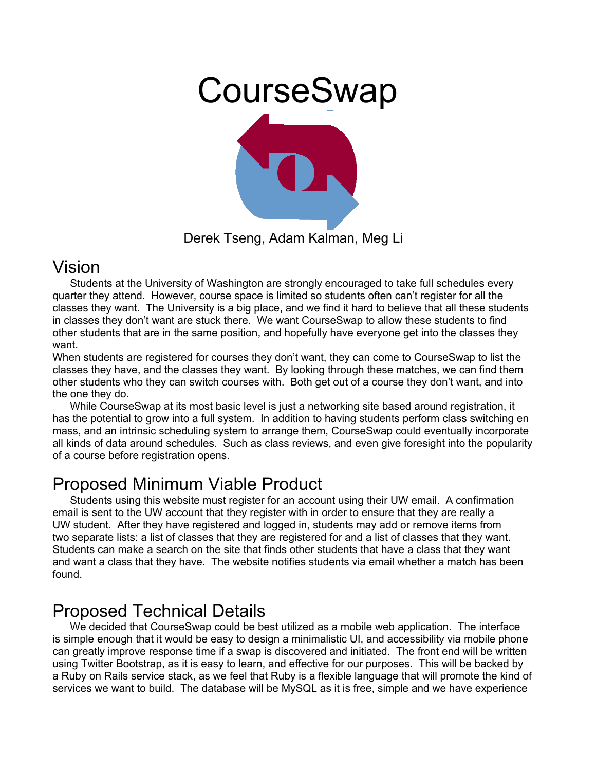

#### Vision

Students at the University of Washington are strongly encouraged to take full schedules every quarter they attend. However, course space is limited so students often can't register for all the classes they want. The University is a big place, and we find it hard to believe that all these students in classes they don't want are stuck there. We want CourseSwap to allow these students to find other students that are in the same position, and hopefully have everyone get into the classes they want.

When students are registered for courses they don't want, they can come to CourseSwap to list the classes they have, and the classes they want. By looking through these matches, we can find them other students who they can switch courses with. Both get out of a course they don't want, and into the one they do.

While CourseSwap at its most basic level is just a networking site based around registration, it has the potential to grow into a full system. In addition to having students perform class switching en mass, and an intrinsic scheduling system to arrange them, CourseSwap could eventually incorporate all kinds of data around schedules. Such as class reviews, and even give foresight into the popularity of a course before registration opens.

# Proposed Minimum Viable Product

Students using this website must register for an account using their UW email. A confirmation email is sent to the UW account that they register with in order to ensure that they are really a UW student. After they have registered and logged in, students may add or remove items from two separate lists: a list of classes that they are registered for and a list of classes that they want. Students can make a search on the site that finds other students that have a class that they want and want a class that they have. The website notifies students via email whether a match has been found.

# Proposed Technical Details

We decided that CourseSwap could be best utilized as a mobile web application. The interface is simple enough that it would be easy to design a minimalistic UI, and accessibility via mobile phone can greatly improve response time if a swap is discovered and initiated. The front end will be written using Twitter Bootstrap, as it is easy to learn, and effective for our purposes. This will be backed by a Ruby on Rails service stack, as we feel that Ruby is a flexible language that will promote the kind of services we want to build. The database will be MySQL as it is free, simple and we have experience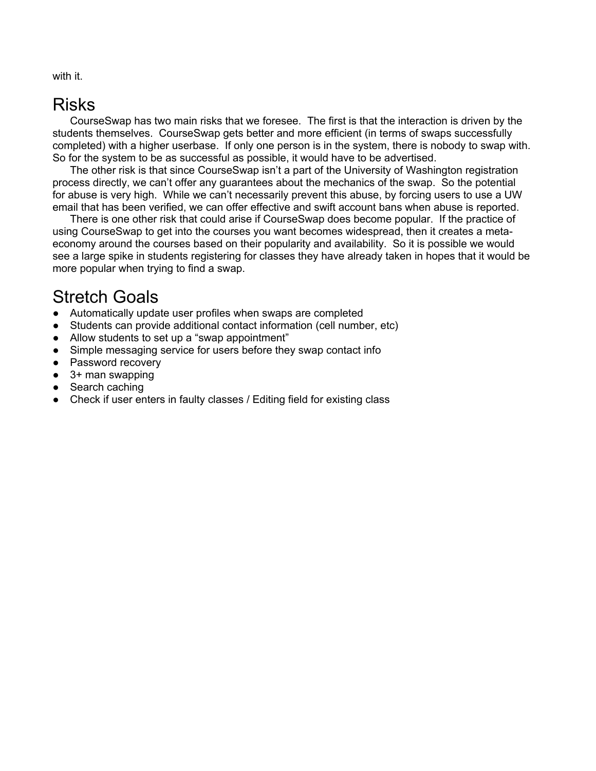with it.

### Risks

CourseSwap has two main risks that we foresee. The first is that the interaction is driven by the students themselves. CourseSwap gets better and more efficient (in terms of swaps successfully completed) with a higher userbase. If only one person is in the system, there is nobody to swap with. So for the system to be as successful as possible, it would have to be advertised.

The other risk is that since CourseSwap isn't a part of the University of Washington registration process directly, we can't offer any guarantees about the mechanics of the swap. So the potential for abuse is very high. While we can't necessarily prevent this abuse, by forcing users to use a UW email that has been verified, we can offer effective and swift account bans when abuse is reported.

There is one other risk that could arise if CourseSwap does become popular. If the practice of using CourseSwap to get into the courses you want becomes widespread, then it creates a metaeconomy around the courses based on their popularity and availability. So it is possible we would see a large spike in students registering for classes they have already taken in hopes that it would be more popular when trying to find a swap.

### Stretch Goals

- Automatically update user profiles when swaps are completed
- Students can provide additional contact information (cell number, etc)
- Allow students to set up a "swap appointment"
- Simple messaging service for users before they swap contact info
- Password recovery
- 3+ man swapping
- Search caching
- Check if user enters in faulty classes / Editing field for existing class